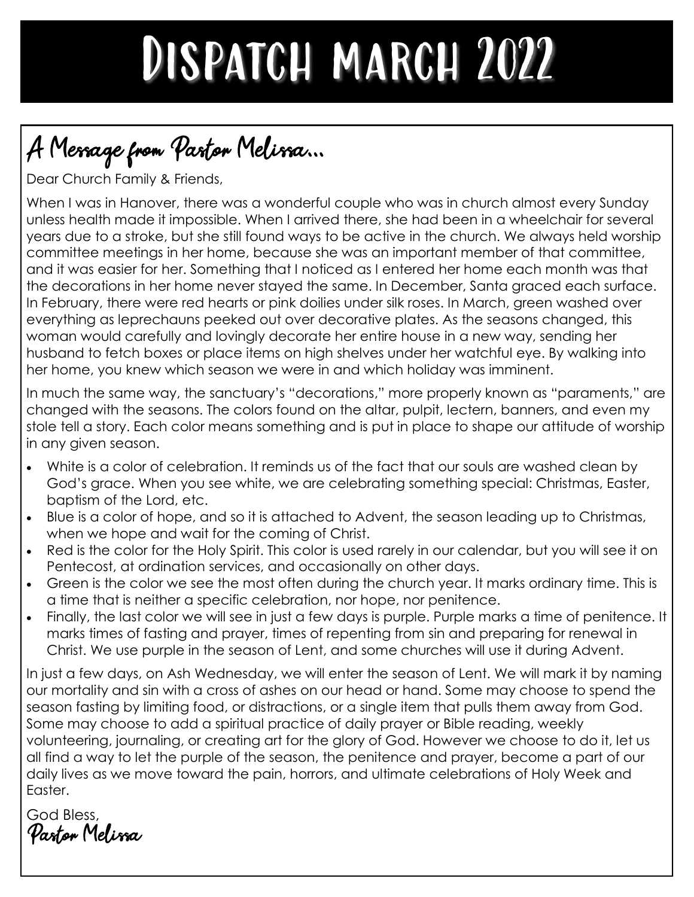## DISPATCH MARCH 2022

## A Message from Pastor Melissa...

Dear Church Family & Friends,

When I was in Hanover, there was a wonderful couple who was in church almost every Sunday unless health made it impossible. When I arrived there, she had been in a wheelchair for several years due to a stroke, but she still found ways to be active in the church. We always held worship committee meetings in her home, because she was an important member of that committee, and it was easier for her. Something that I noticed as I entered her home each month was that the decorations in her home never stayed the same. In December, Santa graced each surface. In February, there were red hearts or pink doilies under silk roses. In March, green washed over everything as leprechauns peeked out over decorative plates. As the seasons changed, this woman would carefully and lovingly decorate her entire house in a new way, sending her husband to fetch boxes or place items on high shelves under her watchful eye. By walking into her home, you knew which season we were in and which holiday was imminent.

In much the same way, the sanctuary's "decorations," more properly known as "paraments," are changed with the seasons. The colors found on the altar, pulpit, lectern, banners, and even my stole tell a story. Each color means something and is put in place to shape our attitude of worship in any given season.

- White is a color of celebration. It reminds us of the fact that our souls are washed clean by God's grace. When you see white, we are celebrating something special: Christmas, Easter, baptism of the Lord, etc.
- Blue is a color of hope, and so it is attached to Advent, the season leading up to Christmas, when we hope and wait for the coming of Christ.
- Red is the color for the Holy Spirit. This color is used rarely in our calendar, but you will see it on Pentecost, at ordination services, and occasionally on other days.
- Green is the color we see the most often during the church year. It marks ordinary time. This is a time that is neither a specific celebration, nor hope, nor penitence.
- Finally, the last color we will see in just a few days is purple. Purple marks a time of penitence. It marks times of fasting and prayer, times of repenting from sin and preparing for renewal in Christ. We use purple in the season of Lent, and some churches will use it during Advent.

In just a few days, on Ash Wednesday, we will enter the season of Lent. We will mark it by naming our mortality and sin with a cross of ashes on our head or hand. Some may choose to spend the season fasting by limiting food, or distractions, or a single item that pulls them away from God. Some may choose to add a spiritual practice of daily prayer or Bible reading, weekly volunteering, journaling, or creating art for the glory of God. However we choose to do it, let us all find a way to let the purple of the season, the penitence and prayer, become a part of our daily lives as we move toward the pain, horrors, and ultimate celebrations of Holy Week and Easter.

God Bless, Pastor Melissa.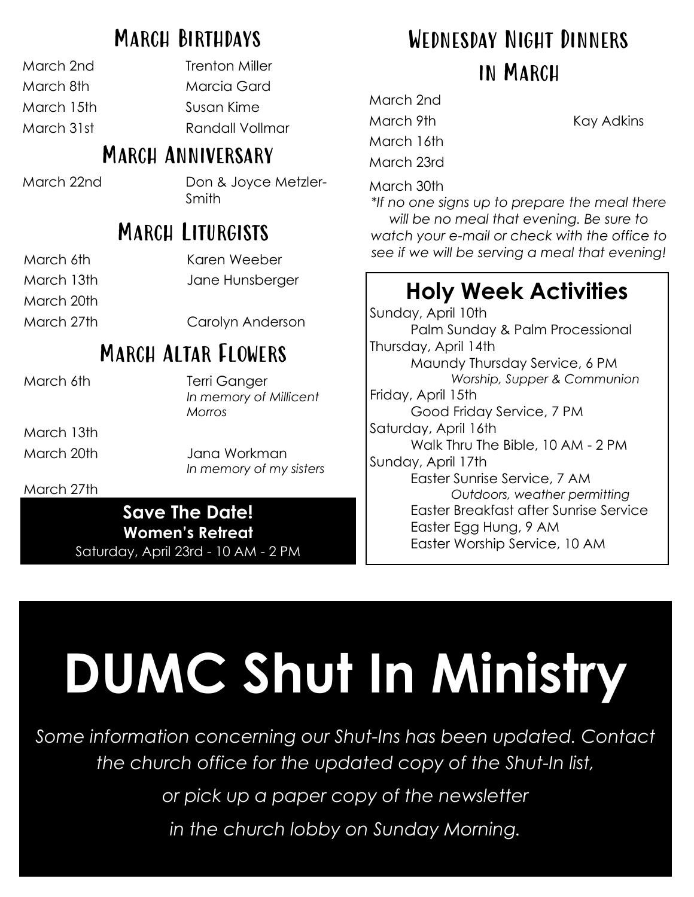### March Birthdays

| March 2nd  |
|------------|
| March 8th  |
| March 15th |
| March 31st |
|            |

Trenton Miller Marcia Gard Susan Kime Randall Vollmar

### MARCH ANNIVERSARY

March 22nd Don & Joyce Metzler-Smith

## MARCH LITURGISTS

| March 6th   | Karen Weeber     |
|-------------|------------------|
| March 13th. | Jane Hunsberger  |
| March 20th. |                  |
| March 27th  | Carolyn Anderson |

## March Altar Flowers

March 13th

March 6th Terri Ganger *In memory of Millicent Morros*

March 20th Jana Workman *In memory of my sisters*

#### March 27th

**Save The Date! Women's Retreat** Saturday, April 23rd - 10 AM - 2 PM

## Wednesday Night Dinners in March

March 2nd March 9th Kay Adkins March 16th March 23rd

March 30th

*\*If no one signs up to prepare the meal there will be no meal that evening. Be sure to watch your e-mail or check with the office to see if we will be serving a meal that evening!*

## **Holy Week Activities**

Sunday, April 10th Palm Sunday & Palm Processional Thursday, April 14th Maundy Thursday Service, 6 PM *Worship, Supper & Communion* Friday, April 15th Good Friday Service, 7 PM Saturday, April 16th Walk Thru The Bible, 10 AM - 2 PM Sunday, April 17th Easter Sunrise Service, 7 AM *Outdoors, weather permitting* Easter Breakfast after Sunrise Service Easter Egg Hung, 9 AM Easter Worship Service, 10 AM

# **DUMC Shut In Ministry**

*Some information concerning our Shut-Ins has been updated. Contact the church office for the updated copy of the Shut-In list,*

*or pick up a paper copy of the newsletter*

*in the church lobby on Sunday Morning.*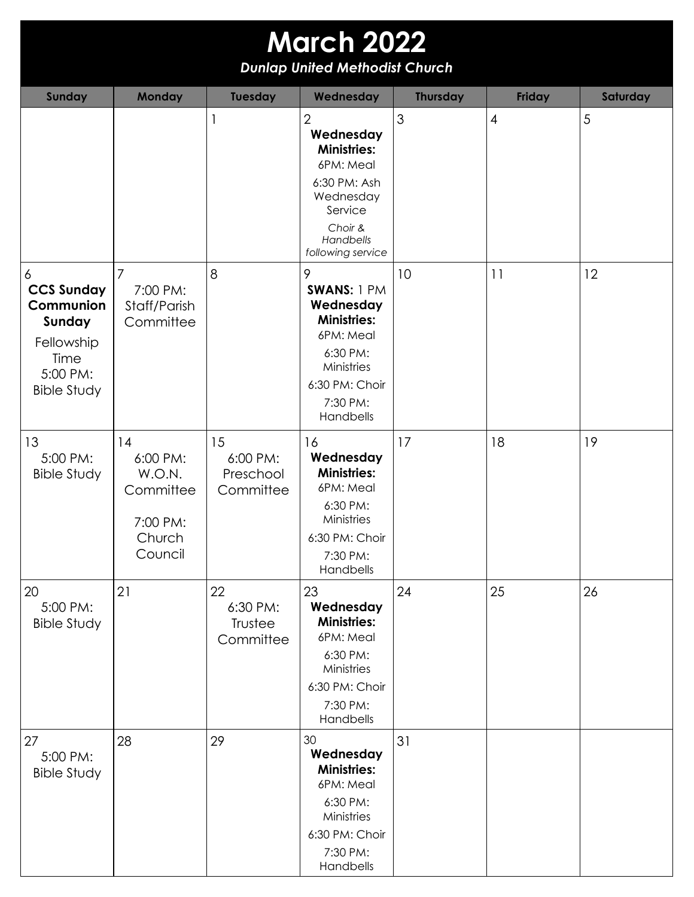| <b>March 2022</b><br><b>Dunlap United Methodist Church</b>                                            |                                                                        |                                          |                                                                                                                                                     |                 |                |          |  |  |
|-------------------------------------------------------------------------------------------------------|------------------------------------------------------------------------|------------------------------------------|-----------------------------------------------------------------------------------------------------------------------------------------------------|-----------------|----------------|----------|--|--|
| <b>Sunday</b>                                                                                         | <b>Monday</b>                                                          | <b>Tuesday</b>                           | Wednesday                                                                                                                                           | <b>Thursday</b> | <b>Friday</b>  | Saturday |  |  |
|                                                                                                       |                                                                        | $\mathbf{1}$                             | $\overline{2}$<br>Wednesday<br><b>Ministries:</b><br>6PM: Meal<br>6:30 PM: Ash<br>Wednesday<br>Service<br>Choir &<br>Handbells<br>following service | 3               | $\overline{4}$ | 5        |  |  |
| 6<br><b>CCS Sunday</b><br>Communion<br>Sunday<br>Fellowship<br>Time<br>5:00 PM:<br><b>Bible Study</b> | $\overline{7}$<br>7:00 PM:<br>Staff/Parish<br>Committee                | 8                                        | 9<br>SWANS: 1 PM<br>Wednesday<br><b>Ministries:</b><br>6PM: Meal<br>6:30 PM:<br>Ministries<br>6:30 PM: Choir<br>7:30 PM:<br>Handbells               | 10              | 11             | 12       |  |  |
| 13<br>5:00 PM:<br><b>Bible Study</b>                                                                  | 14<br>6:00 PM:<br>W.O.N.<br>Committee<br>7:00 PM:<br>Church<br>Council | 15<br>6:00 PM:<br>Preschool<br>Committee | 16<br>Wednesday<br><b>Ministries:</b><br>6PM: Meal<br>6:30 PM:<br>Ministries<br>6:30 PM: Choir<br>7:30 PM:<br>Handbells                             | 17              | 18             | 19       |  |  |
| 20<br>5:00 PM:<br><b>Bible Study</b>                                                                  | 21                                                                     | 22<br>6:30 PM:<br>Trustee<br>Committee   | 23<br>Wednesday<br><b>Ministries:</b><br>6PM: Meal<br>6:30 PM:<br>Ministries<br>6:30 PM: Choir<br>7:30 PM:<br>Handbells                             | 24              | 25             | 26       |  |  |
| 27<br>5:00 PM:<br><b>Bible Study</b>                                                                  | 28                                                                     | 29                                       | 30<br>Wednesday<br><b>Ministries:</b><br>6PM: Meal<br>6:30 PM:<br>Ministries<br>6:30 PM: Choir<br>7:30 PM:<br>Handbells                             | 31              |                |          |  |  |